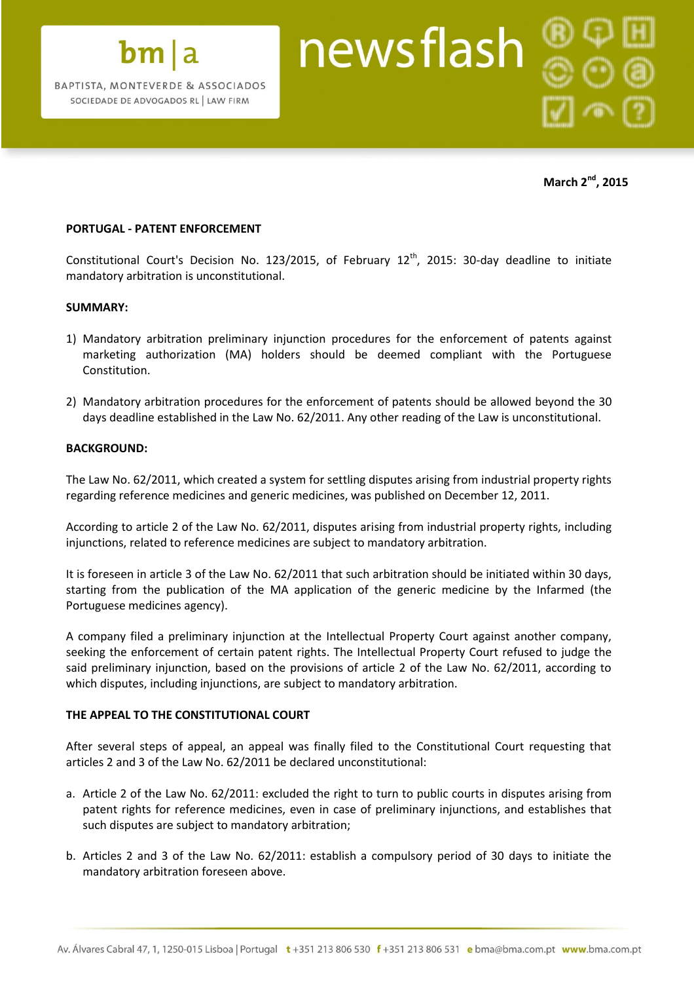

**March 2nd , 2015**

# **PORTUGAL - PATENT ENFORCEMENT**

Constitutional Court's Decision No. 123/2015, of February  $12<sup>th</sup>$ , 2015: 30-day deadline to initiate mandatory arbitration is unconstitutional.

## **SUMMARY:**

- 1) Mandatory arbitration preliminary injunction procedures for the enforcement of patents against marketing authorization (MA) holders should be deemed compliant with the Portuguese Constitution.
- 2) Mandatory arbitration procedures for the enforcement of patents should be allowed beyond the 30 days deadline established in the Law No. 62/2011. Any other reading of the Law is unconstitutional.

#### **BACKGROUND:**

The Law No. 62/2011, which created a system for settling disputes arising from industrial property rights regarding reference medicines and generic medicines, was published on December 12, 2011.

According to article 2 of the Law No. 62/2011, disputes arising from industrial property rights, including injunctions, related to reference medicines are subject to mandatory arbitration.

It is foreseen in article 3 of the Law No. 62/2011 that such arbitration should be initiated within 30 days, starting from the publication of the MA application of the generic medicine by the Infarmed (the Portuguese medicines agency).

A company filed a preliminary injunction at the Intellectual Property Court against another company, seeking the enforcement of certain patent rights. The Intellectual Property Court refused to judge the said preliminary injunction, based on the provisions of article 2 of the Law No. 62/2011, according to which disputes, including injunctions, are subject to mandatory arbitration.

## **THE APPEAL TO THE CONSTITUTIONAL COURT**

After several steps of appeal, an appeal was finally filed to the Constitutional Court requesting that articles 2 and 3 of the Law No. 62/2011 be declared unconstitutional:

- a. Article 2 of the Law No. 62/2011: excluded the right to turn to public courts in disputes arising from patent rights for reference medicines, even in case of preliminary injunctions, and establishes that such disputes are subject to mandatory arbitration;
- b. Articles 2 and 3 of the Law No. 62/2011: establish a compulsory period of 30 days to initiate the mandatory arbitration foreseen above.